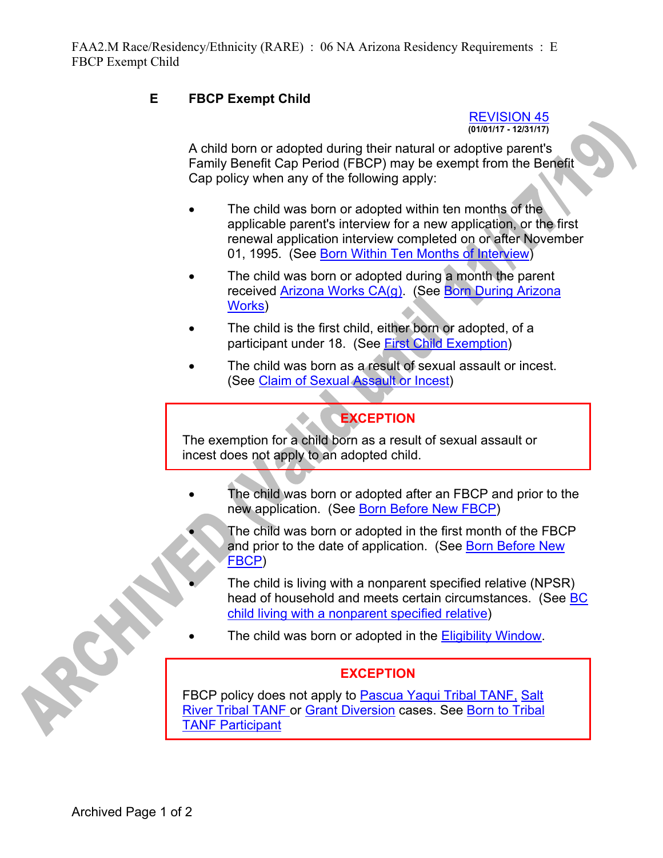## **E FBCP Exempt Child**

#### REVISION 45 **(01/01/17 - 12/31/17)**

A child born or adopted during their natural or adoptive parent's Family Benefit Cap Period (FBCP) may be exempt from the Benefit Cap policy when any of the following apply:

- The child was born or adopted within ten months of the applicable parent's interview for a new application, or the first renewal application interview completed on or after November 01, 1995. (See Born Within Ten Months of Interview)
- The child was born or adopted during a month the parent received Arizona Works CA(g). (See Born During Arizona Works)
- The child is the first child, either born or adopted, of a participant under 18. (See First Child Exemption)
- The child was born as a result of sexual assault or incest. (See Claim of Sexual Assault or Incest)

# **EXCEPTION**

The exemption for a child born as a result of sexual assault or incest does not apply to an adopted child.

- The child was born or adopted after an FBCP and prior to the new application. (See Born Before New FBCP)
	- The child was born or adopted in the first month of the FBCP and prior to the date of application. (See Born Before New FBCP)
	- The child is living with a nonparent specified relative (NPSR) head of household and meets certain circumstances. (See BC child living with a nonparent specified relative)
- The child was born or adopted in the **Eligibility Window**.

### **EXCEPTION**

FBCP policy does not apply to Pascua Yaqui Tribal TANF, Salt River Tribal TANF or Grant Diversion cases. See Born to Tribal TANF Participant